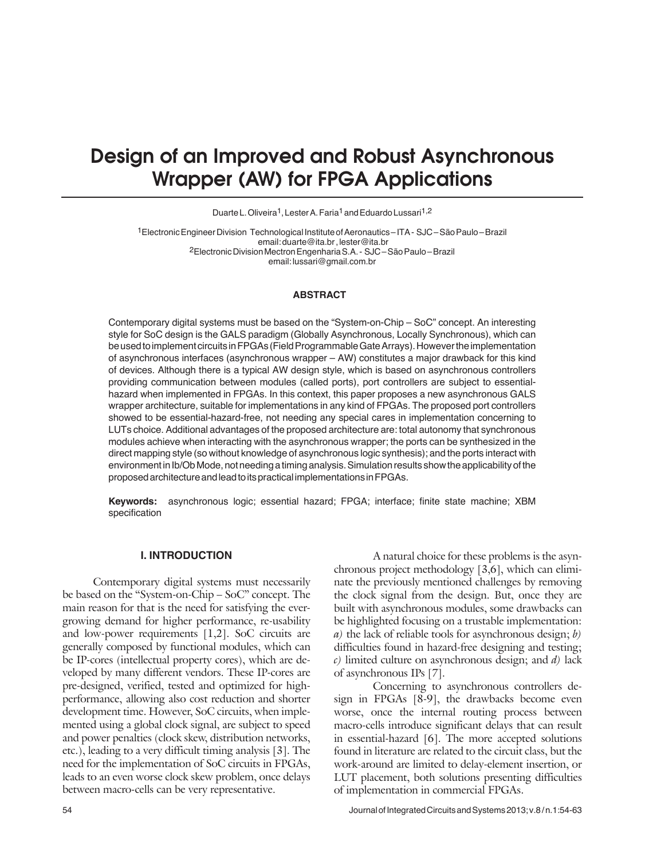# Design of an Improved and Robust Asynchronous Wrapper (AW) for FPGA Applications

Duarte L. Oliveira<sup>1</sup>, Lester A. Faria<sup>1</sup> and Eduardo Lussari<sup>1,2</sup>

1Electronic Engineer Division Technological Institute of Aeronautics – ITA - SJC – São Paulo – Brazil email: duarte@ita.br , lester@ita.br 2Electronic Division Mectron Engenharia S.A. - SJC – São Paulo – Brazil email: lussari@gmail.com.br

## **ABSTRACT**

Contemporary digital systems must be based on the "System-on-Chip – SoC" concept. An interesting style for SoC design is the GALS paradigm (Globally Asynchronous, Locally Synchronous), which can be used to implement circuits in FPGAs (Field Programmable Gate Arrays). However the implementation of asynchronous interfaces (asynchronous wrapper – AW) constitutes a major drawback for this kind of devices. Although there is a typical AW design style, which is based on asynchronous controllers providing communication between modules (called ports), port controllers are subject to essentialhazard when implemented in FPGAs. In this context, this paper proposes a new asynchronous GALS wrapper architecture, suitable for implementations in any kind of FPGAs. The proposed port controllers showed to be essential-hazard-free, not needing any special cares in implementation concerning to LUTs choice. Additional advantages of the proposed architecture are: total autonomy that synchronous modules achieve when interacting with the asynchronous wrapper; the ports can be synthesized in the direct mapping style (so without knowledge of asynchronous logic synthesis); and the ports interact with environment in Ib/Ob Mode, not needing a timing analysis. Simulation results show the applicability of the proposed architecture and lead to its practical implementations in FPGAs.

**Keywords:** asynchronous logic; essential hazard; FPGA; interface; finite state machine; XBM specification

## **I. Introduction**

Contemporary digital systems must necessarily be based on the "System-on-Chip – SoC" concept. The main reason for that is the need for satisfying the evergrowing demand for higher performance, re-usability and low-power requirements [1,2]. SoC circuits are generally composed by functional modules, which can be IP-cores (intellectual property cores), which are developed by many different vendors. These IP-cores are pre-designed, verified, tested and optimized for highperformance, allowing also cost reduction and shorter development time. However, SoC circuits, when implemented using a global clock signal, are subject to speed and power penalties (clock skew, distribution networks, etc.), leading to a very difficult timing analysis [3]. The need for the implementation of SoC circuits in FPGAs, leads to an even worse clock skew problem, once delays between macro-cells can be very representative.

A natural choice for these problems is the asynchronous project methodology [3,6], which can eliminate the previously mentioned challenges by removing the clock signal from the design. But, once they are built with asynchronous modules, some drawbacks can be highlighted focusing on a trustable implementation: *a)* the lack of reliable tools for asynchronous design; *b)* difficulties found in hazard-free designing and testing; *c)* limited culture on asynchronous design; and *d)* lack of asynchronous IPs [7].

Concerning to asynchronous controllers design in FPGAs [8-9], the drawbacks become even worse, once the internal routing process between macro-cells introduce significant delays that can result in essential-hazard [6]. The more accepted solutions found in literature are related to the circuit class, but the work-around are limited to delay-element insertion, or LUT placement, both solutions presenting difficulties of implementation in commercial FPGAs.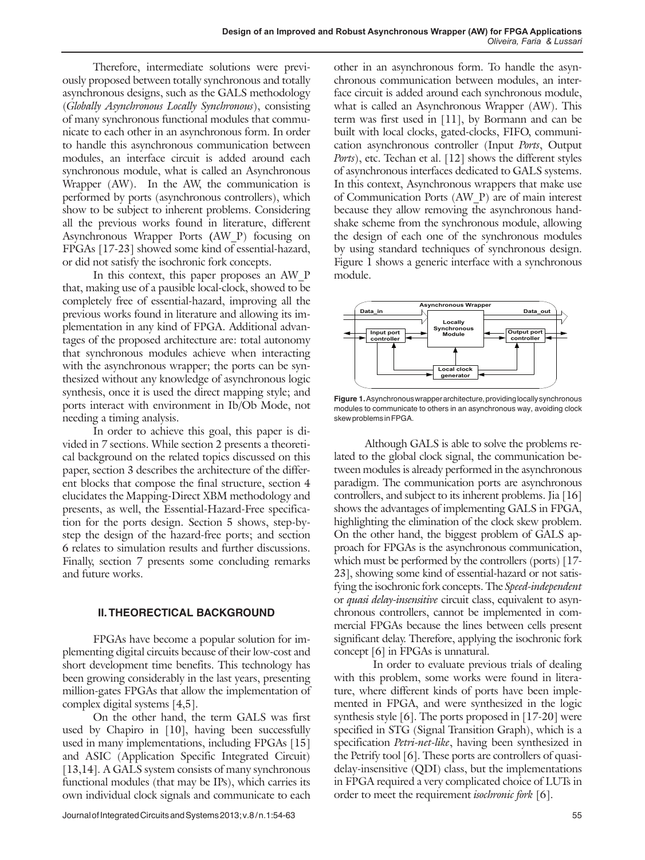Therefore, intermediate solutions were previously proposed between totally synchronous and totally asynchronous designs, such as the GALS methodology (*Globally Asynchronous Locally Synchronous*), consisting of many synchronous functional modules that communicate to each other in an asynchronous form. In order to handle this asynchronous communication between modules, an interface circuit is added around each synchronous module, what is called an Asynchronous Wrapper (AW). In the AW, the communication is performed by ports (asynchronous controllers), which show to be subject to inherent problems. Considering all the previous works found in literature, different Asynchronous Wrapper Ports **(**AW\_P) focusing on FPGAs [17-23] showed some kind of essential-hazard, or did not satisfy the isochronic fork concepts.

In this context, this paper proposes an AW P that, making use of a pausible local-clock, showed to be completely free of essential-hazard, improving all the previous works found in literature and allowing its implementation in any kind of FPGA. Additional advantages of the proposed architecture are: total autonomy that synchronous modules achieve when interacting with the asynchronous wrapper; the ports can be synthesized without any knowledge of asynchronous logic synthesis, once it is used the direct mapping style; and ports interact with environment in Ib/Ob Mode, not needing a timing analysis.

In order to achieve this goal, this paper is divided in 7 sections. While section 2 presents a theoretical background on the related topics discussed on this paper, section 3 describes the architecture of the different blocks that compose the final structure, section 4 elucidates the Mapping-Direct XBM methodology and presents, as well, the Essential-Hazard-Free specification for the ports design. Section 5 shows, step-bystep the design of the hazard-free ports; and section 6 relates to simulation results and further discussions. Finally, section 7 presents some concluding remarks and future works.

## **II. Theorectical background**

FPGAs have become a popular solution for implementing digital circuits because of their low-cost and short development time benefits. This technology has been growing considerably in the last years, presenting million-gates FPGAs that allow the implementation of complex digital systems [4,5].

On the other hand, the term GALS was first used by Chapiro in [10], having been successfully used in many implementations, including FPGAs [15] and ASIC (Application Specific Integrated Circuit) [13,14]. A GALS system consists of many synchronous functional modules (that may be IPs), which carries its own individual clock signals and communicate to each other in an asynchronous form. To handle the asynchronous communication between modules, an interface circuit is added around each synchronous module, what is called an Asynchronous Wrapper (AW). This term was first used in [11], by Bormann and can be built with local clocks, gated-clocks, FIFO, communication asynchronous controller (Input *Ports*, Output *Ports*), etc. Techan et al. [12] shows the different styles of asynchronous interfaces dedicated to GALS systems. In this context, Asynchronous wrappers that make use of Communication Ports (AW\_P) are of main interest because they allow removing the asynchronous handshake scheme from the synchronous module, allowing the design of each one of the synchronous modules by using standard techniques of synchronous design. Figure 1 shows a generic interface with a synchronous module.



**Figure 1.** Asynchronous wrapper architecture, providing locally synchronous modules to communicate to others in an asynchronous way, avoiding clock skew problems in FPGA.

Although GALS is able to solve the problems related to the global clock signal, the communication between modules is already performed in the asynchronous paradigm. The communication ports are asynchronous controllers, and subject to its inherent problems. Jia [16] shows the advantages of implementing GALS in FPGA, highlighting the elimination of the clock skew problem. On the other hand, the biggest problem of GALS approach for FPGAs is the asynchronous communication, which must be performed by the controllers (ports) [17- 23], showing some kind of essential-hazard or not satisfying the isochronic fork concepts. The *Speed-independent* or *quasi delay-insensitive* circuit class, equivalent to asynchronous controllers, cannot be implemented in commercial FPGAs because the lines between cells present significant delay. Therefore, applying the isochronic fork concept [6] in FPGAs is unnatural.

In order to evaluate previous trials of dealing with this problem, some works were found in literature, where different kinds of ports have been implemented in FPGA, and were synthesized in the logic synthesis style [6]. The ports proposed in [17-20] were specified in STG (Signal Transition Graph), which is a specification *Petri-net-like*, having been synthesized in the Petrify tool [6]. These ports are controllers of quasidelay-insensitive (QDI) class, but the implementations in FPGA required a very complicated choice of LUTs in order to meet the requirement *isochronic fork* [6].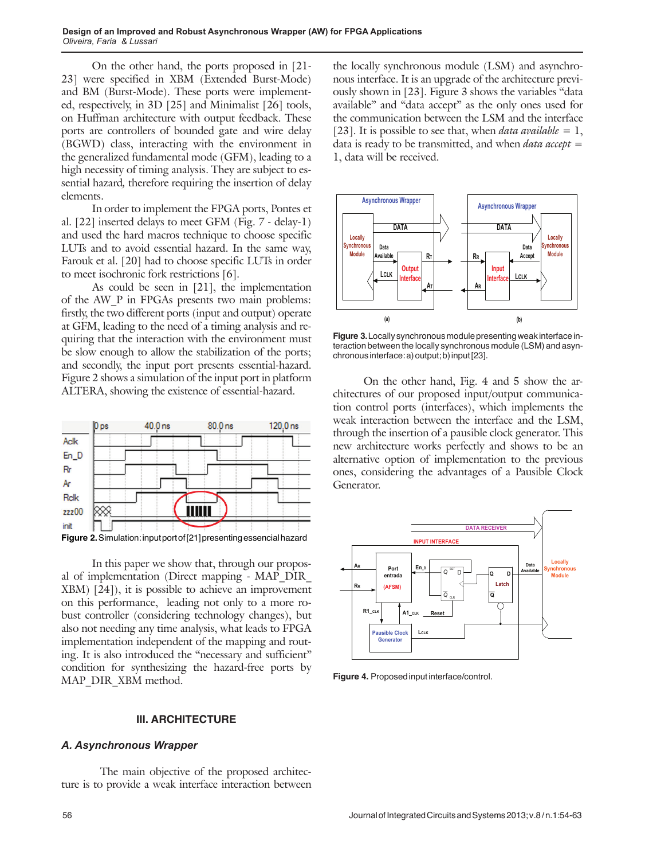On the other hand, the ports proposed in [21- 23] were specified in XBM (Extended Burst-Mode) and BM (Burst-Mode). These ports were implemented, respectively, in 3D [25] and Minimalist [26] tools, on Huffman architecture with output feedback. These ports are controllers of bounded gate and wire delay (BGWD) class, interacting with the environment in the generalized fundamental mode (GFM), leading to a high necessity of timing analysis. They are subject to essential hazard*,* therefore requiring the insertion of delay elements.

In order to implement the FPGA ports, Pontes et al. [22] inserted delays to meet GFM (Fig. 7 - delay-1) and used the hard macros technique to choose specific LUTs and to avoid essential hazard. In the same way, Farouk et al. [20] had to choose specific LUTs in order to meet isochronic fork restrictions [6].

As could be seen in [21], the implementation of the AW\_P in FPGAs presents two main problems: firstly, the two different ports (input and output) operate at GFM, leading to the need of a timing analysis and requiring that the interaction with the environment must be slow enough to allow the stabilization of the ports; and secondly, the input port presents essential-hazard. Figure 2 shows a simulation of the input port in platform ALTERA, showing the existence of essential-hazard.



In this paper we show that, through our proposal of implementation (Direct mapping - MAP\_DIR\_ XBM) [24]), it is possible to achieve an improvement on this performance, leading not only to a more robust controller (considering technology changes), but also not needing any time analysis, what leads to FPGA implementation independent of the mapping and routing. It is also introduced the "necessary and sufficient" condition for synthesizing the hazard-free ports by MAP\_DIR\_XBM method.

## **III. Architecture**

#### *A. Asynchronous Wrapper*

The main objective of the proposed architecture is to provide a weak interface interaction between the locally synchronous module (LSM) and asynchronous interface. It is an upgrade of the architecture previously shown in [23]. Figure 3 shows the variables "data available" and "data accept" as the only ones used for the communication between the LSM and the interface [23]. It is possible to see that, when *data available*  $= 1$ , data is ready to be transmitted, and when *data accept* = 1, data will be received.



**Figure 3.** Locally synchronous module presenting weak interface interaction between the locally synchronous module (LSM) and asynchronous interface: a) output; b) input [23].

On the other hand, Fig. 4 and 5 show the architectures of our proposed input/output communication control ports (interfaces), which implements the weak interaction between the interface and the LSM, through the insertion of a pausible clock generator. This new architecture works perfectly and shows to be an alternative option of implementation to the previous ones, considering the advantages of a Pausible Clock Generator.



**Figure 4.** Proposed input interface/control.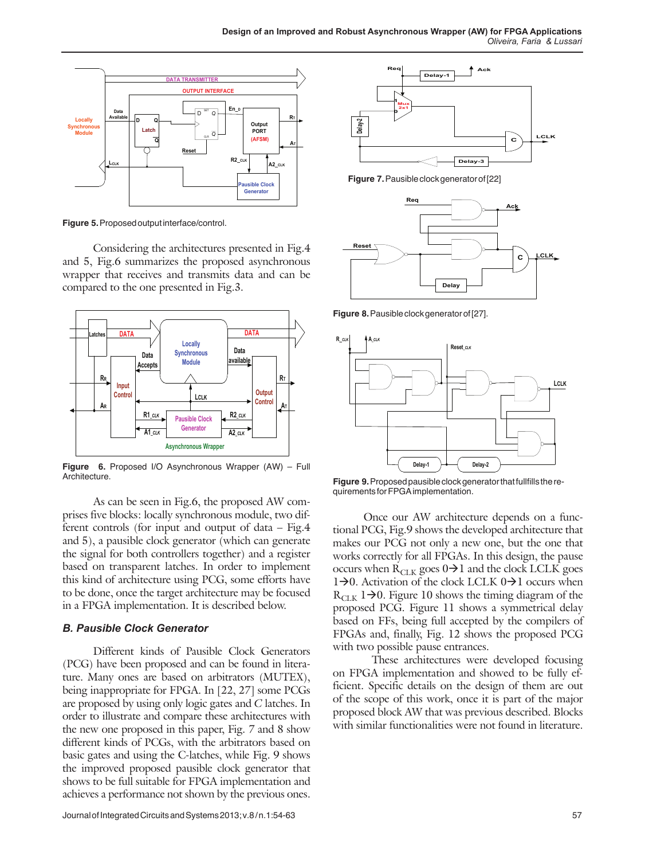

**Figure 5.** Proposed output interface/control.

Considering the architectures presented in Fig.4 and 5, Fig.6 summarizes the proposed asynchronous wrapper that receives and transmits data and can be compared to the one presented in Fig.3.



**Figure 6.** Proposed I/O Asynchronous Wrapper (AW) – Full Architecture.

As can be seen in Fig.6, the proposed AW comprises five blocks: locally synchronous module, two different controls (for input and output of data – Fig.4 and 5), a pausible clock generator (which can generate the signal for both controllers together) and a register based on transparent latches. In order to implement this kind of architecture using PCG, some efforts have to be done, once the target architecture may be focused in a FPGA implementation. It is described below.

# *B. Pausible Clock Generator*

Different kinds of Pausible Clock Generators (PCG) have been proposed and can be found in literature. Many ones are based on arbitrators (MUTEX), being inappropriate for FPGA. In [22, 27] some PCGs are proposed by using only logic gates and *C* latches. In order to illustrate and compare these architectures with the new one proposed in this paper, Fig. 7 and 8 show different kinds of PCGs, with the arbitrators based on basic gates and using the C-latches, while Fig. 9 shows the improved proposed pausible clock generator that shows to be full suitable for FPGA implementation and achieves a performance not shown by the previous ones.



**Figure 7.** Pausible clock generator of [22]



**Figure 8.** Pausible clock generator of [27].



**Figure 9.** Proposed pausible clock generator that fullfills the requirements for FPGA implementation.

Once our AW architecture depends on a functional PCG, Fig.9 shows the developed architecture that makes our PCG not only a new one, but the one that works correctly for all FPGAs. In this design, the pause occurs when  $R_{CLK}$  goes  $0\rightarrow1$  and the clock LCLK goes 1 $\rightarrow$ 0. Activation of the clock LCLK 0 $\rightarrow$ 1 occurs when  $R_{CLK}$  1 $\rightarrow$ 0. Figure 10 shows the timing diagram of the proposed PCG. Figure 11 shows a symmetrical delay based on FFs, being full accepted by the compilers of FPGAs and, finally, Fig. 12 shows the proposed PCG with two possible pause entrances.

These architectures were developed focusing on FPGA implementation and showed to be fully efficient. Specific details on the design of them are out of the scope of this work, once it is part of the major proposed block AW that was previous described. Blocks with similar functionalities were not found in literature.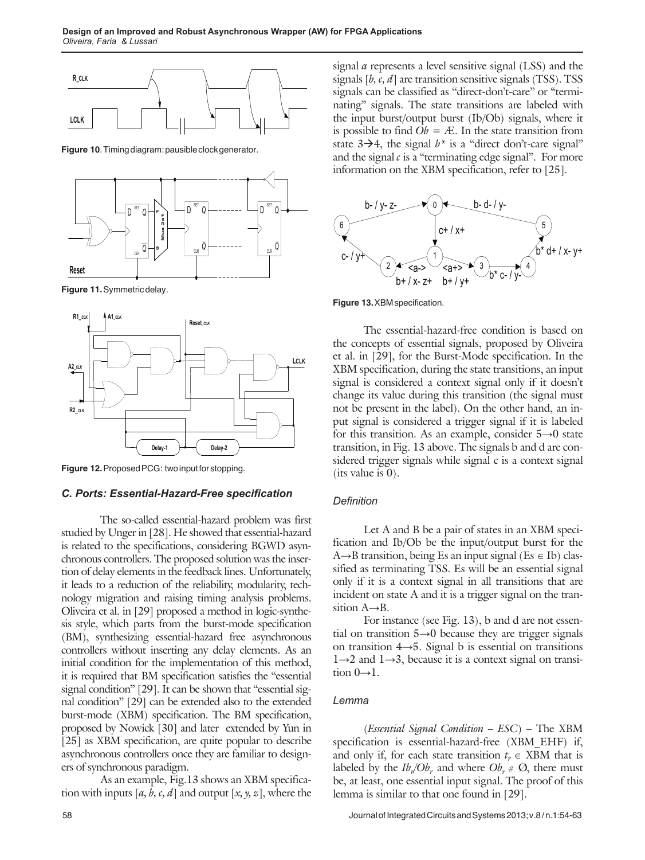

**Figure 10**. Timing diagram: pausible clock generator.



**Figure 11.** Symmetric delay.



**Figure 12.** Proposed PCG: two input for stopping.

## *C. Ports: Essential-Hazard-Free specification*

The so-called essential-hazard problem was first studied by Unger in [28]. He showed that essential-hazard is related to the specifications, considering BGWD asynchronous controllers. The proposed solution was the insertion of delay elements in the feedback lines. Unfortunately, it leads to a reduction of the reliability, modularity, technology migration and raising timing analysis problems. Oliveira et al. in [29] proposed a method in logic-synthesis style, which parts from the burst-mode specification (BM), synthesizing essential-hazard free asynchronous controllers without inserting any delay elements. As an initial condition for the implementation of this method, it is required that BM specification satisfies the "essential signal condition" [29]. It can be shown that "essential signal condition" [29] can be extended also to the extended burst-mode (XBM) specification. The BM specification, proposed by Nowick [30] and later extended by Yun in [25] as XBM specification, are quite popular to describe asynchronous controllers once they are familiar to designers of synchronous paradigm.

As an example, Fig.13 shows an XBM specification with inputs [*a, b, c, d*] and output [*x, y, z*], where the

signal *a* represents a level sensitive signal (LSS) and the signals [*b, c, d*] are transition sensitive signals (TSS). TSS signals can be classified as "direct-don't-care" or "terminating" signals. The state transitions are labeled with the input burst/output burst (Ib/Ob) signals, where it is possible to find  $Ob = \mathcal{A}$ . In the state transition from state  $3\rightarrow 4$ , the signal  $b^*$  is a "direct don't-care signal" and the signal  $c$  is a "terminating edge signal". For more information on the XBM specification, refer to [25].



**Figure 13.** XBM specification.

The essential-hazard-free condition is based on the concepts of essential signals, proposed by Oliveira et al. in [29], for the Burst-Mode specification. In the XBM specification, during the state transitions, an input signal is considered a context signal only if it doesn't change its value during this transition (the signal must not be present in the label). On the other hand, an input signal is considered a trigger signal if it is labeled for this transition. As an example, consider 5→0 state transition, in Fig. 13 above. The signals b and d are considered trigger signals while signal c is a context signal (its value is 0).

#### *Definition*

Let A and B be a pair of states in an XBM specification and Ib/Ob be the input/output burst for the A $\rightarrow$ B transition, being Es an input signal (Es  $\in$  Ib) classified as terminating TSS. Es will be an essential signal only if it is a context signal in all transitions that are incident on state A and it is a trigger signal on the transition A→B.

For instance (see Fig. 13), b and d are not essential on transition 5→0 because they are trigger signals on transition 4→5. Signal b is essential on transitions 1→2 and 1→3, because it is a context signal on transition  $0 \rightarrow 1$ .

# *Lemma*

(*Essential Signal Condition – ESC*) – The XBM specification is essential-hazard-free (XBM\_EHF) if, and only if, for each state transition  $t_r \in XBM$  that is labeled by the  $Ib_{n}/Ob_{r}$  and where  $Ob_{r} \# \mathcal{O}_{2}$ , there must be, at least, one essential input signal. The proof of this lemma is similar to that one found in [29].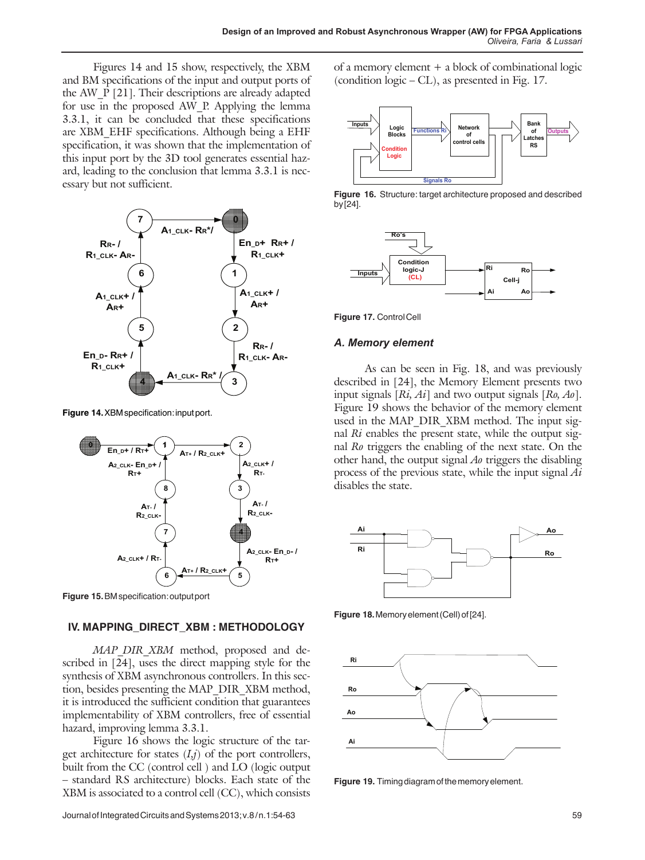Figures 14 and 15 show, respectively, the XBM and BM specifications of the input and output ports of the AW\_P [21]. Their descriptions are already adapted for use in the proposed AW\_P. Applying the lemma 3.3.1, it can be concluded that these specifications are XBM\_EHF specifications. Although being a EHF specification, it was shown that the implementation of this input port by the 3D tool generates essential hazard, leading to the conclusion that lemma 3.3.1 is necessary but not sufficient.



**Figure 14.** XBM specification: input port.



**Figure 15.** BM specification: output port

## **IV. MAPping\_direct\_XBM : METHODOLOGY**

*MAP\_DIR\_XBM\_* method, proposed and described in [24], uses the direct mapping style for the synthesis of XBM asynchronous controllers. In this section, besides presenting the MAP\_DIR\_XBM method, it is introduced the sufficient condition that guarantees implementability of XBM controllers, free of essential hazard, improving lemma 3.3.1.

Figure 16 shows the logic structure of the target architecture for states (*I,j*) of the port controllers, built from the CC (control cell ) and LO (logic output – standard RS architecture) blocks. Each state of the XBM is associated to a control cell (CC), which consists

of a memory element + a block of combinational logic (condition logic – CL), as presented in Fig. 17.



**Figure 16.** Structure: target architecture proposed and described by [24].



**Figure 17.** Control Cell

## *A. Memory element*

As can be seen in Fig. 18, and was previously described in [24], the Memory Element presents two input signals [*Ri, Ai*] and two output signals [*Ro, Ao*]. Figure 19 shows the behavior of the memory element used in the MAP\_DIR\_XBM method. The input signal *Ri* enables the present state, while the output signal *Ro* triggers the enabling of the next state. On the other hand, the output signal *Ao* triggers the disabling process of the previous state, while the input signal *Ai* disables the state.



**Figure 18.** Memory element (Cell) of [24].



**Figure 19.** Timing diagram of the memory element.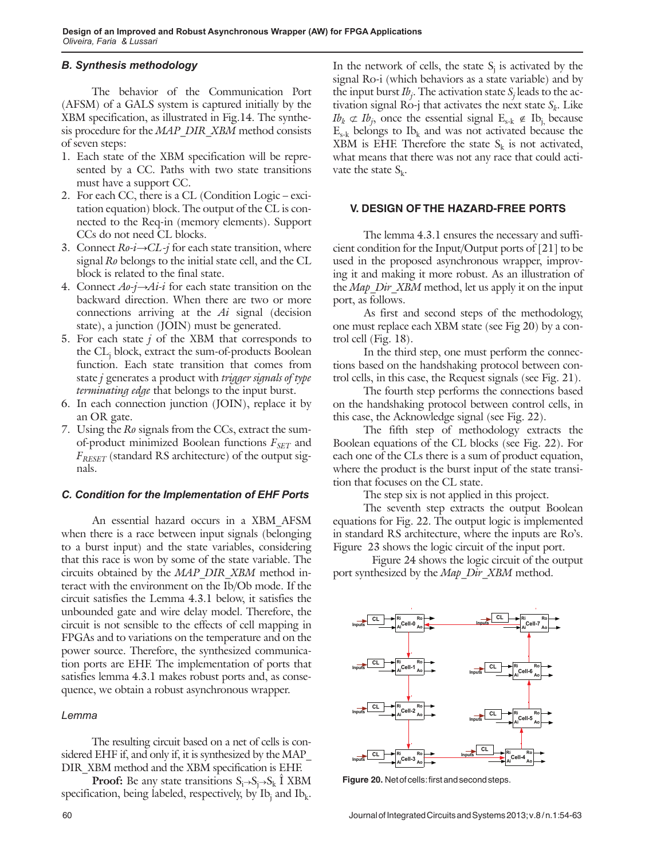## *B. Synthesis methodology*

The behavior of the Communication Port (AFSM) of a GALS system is captured initially by the XBM specification, as illustrated in Fig.14. The synthesis procedure for the *MAP\_DIR\_XBM* method consists of seven steps:

- 1. Each state of the XBM specification will be represented by a CC. Paths with two state transitions must have a support CC.
- 2. For each CC, there is a CL (Condition Logic excitation equation) block. The output of the CL is connected to the Req-in (memory elements). Support CCs do not need CL blocks.
- 3. Connect *Ro-i→CL-j* for each state transition, where signal *Ro* belongs to the initial state cell, and the CL block is related to the final state.
- 4. Connect *Ao-j→Ai-i* for each state transition on the backward direction. When there are two or more connections arriving at the *Ai* signal (decision state), a junction (JOIN) must be generated.
- 5. For each state *j* of the XBM that corresponds to the CLj block, extract the sum-of-products Boolean function. Each state transition that comes from state *j* generates a product with *trigger signals of type terminating edge* that belongs to the input burst.
- 6. In each connection junction (JOIN), replace it by an OR gate.
- 7. Using the *Ro* signals from the CCs, extract the sumof-product minimized Boolean functions  $F_{SET}$  and *FRESET* (standard RS architecture) of the output signals.

#### *C. Condition for the Implementation of EHF Ports*

An essential hazard occurs in a XBM\_AFSM when there is a race between input signals (belonging to a burst input) and the state variables, considering that this race is won by some of the state variable. The circuits obtained by the *MAP\_DIR\_XBM* method interact with the environment on the Ib/Ob mode. If the circuit satisfies the Lemma 4.3.1 below, it satisfies the unbounded gate and wire delay model. Therefore, the circuit is not sensible to the effects of cell mapping in FPGAs and to variations on the temperature and on the power source. Therefore, the synthesized communication ports are EHF. The implementation of ports that satisfies lemma 4.3.1 makes robust ports and, as consequence, we obtain a robust asynchronous wrapper.

#### *Lemma*

The resulting circuit based on a net of cells is considered EHF if, and only if, it is synthesized by the MAP\_ DIR\_XBM method and the XBM specification is EHF.

**Proof:** Be any state transitions  $S_i \rightarrow S_j \rightarrow S_k$  **I** XBM specification, being labeled, respectively, by Ib<sub>j</sub> and Ib<sub>k</sub>. In the network of cells, the state  $S_j$  is activated by the signal Ro-i (which behaviors as a state variable) and by the input burst  $Ib_j$ . The activation state  $S_j$  leads to the activation signal Ro-j that activates the next state  $S_k$ . Like  $Ib_k \not\subset Ib_j$ , once the essential signal  $E_{s-k} \not\in Ib_j$ , because  $E_{s-k}$  belongs to  $Ib_k$  and was not activated because the XBM is EHF. Therefore the state  $S_k$  is not activated, what means that there was not any race that could activate the state  $S_k$ .

## **V. design of the hazard-free ports**

The lemma 4.3.1 ensures the necessary and sufficient condition for the Input/Output ports of [21] to be used in the proposed asynchronous wrapper, improving it and making it more robust. As an illustration of the *Map* Dir XBM method, let us apply it on the input port, as follows.

As first and second steps of the methodology, one must replace each XBM state (see Fig 20) by a control cell (Fig. 18).

In the third step, one must perform the connections based on the handshaking protocol between control cells, in this case, the Request signals (see Fig. 21).

The fourth step performs the connections based on the handshaking protocol between control cells, in this case, the Acknowledge signal (see Fig. 22).

The fifth step of methodology extracts the Boolean equations of the CL blocks (see Fig. 22). For each one of the CLs there is a sum of product equation, where the product is the burst input of the state transition that focuses on the CL state.

The step six is not applied in this project.

The seventh step extracts the output Boolean equations for Fig. 22. The output logic is implemented in standard RS architecture, where the inputs are Ro's. Figure 23 shows the logic circuit of the input port.

Figure 24 shows the logic circuit of the output port synthesized by the *Map\_Dir\_XBM* method.



 **Figure 20.** Net of cells: first and second steps.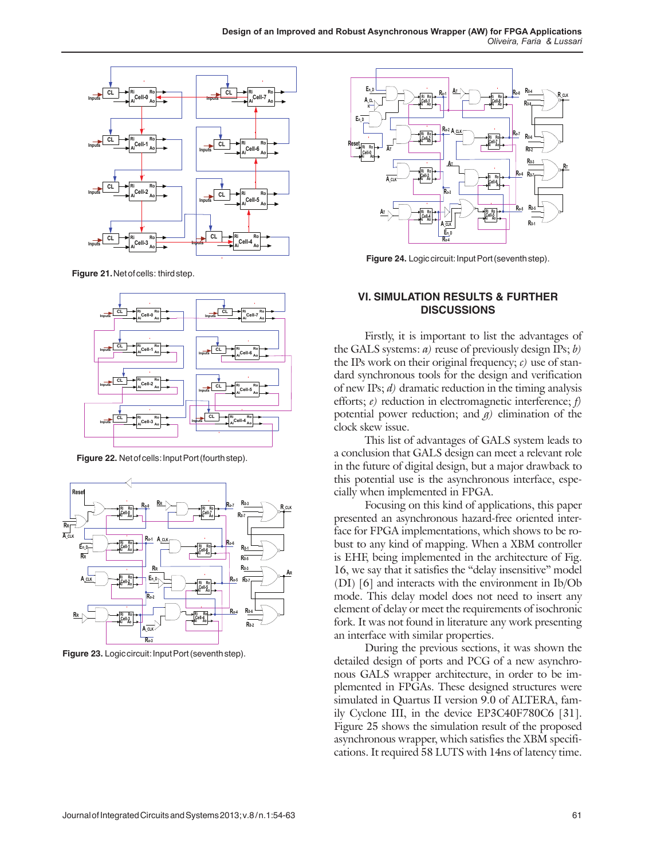

 **Figure 21.** Net of cells: third step.



 **Figure 22.** Net of cells: Input Port (fourth step).



**Figure 23.** Logic circuit: Input Port (seventh step).



**Figure 24.** Logic circuit: Input Port (seventh step).

## **VI. simulation Results & further Discussions**

Firstly, it is important to list the advantages of the GALS systems: *a)* reuse of previously design IPs; *b)* the IPs work on their original frequency; *c)* use of standard synchronous tools for the design and verification of new IPs; *d)* dramatic reduction in the timing analysis efforts; *e)* reduction in electromagnetic interference; *f)* potential power reduction; and  $q$ ) elimination of the clock skew issue.

This list of advantages of GALS system leads to a conclusion that GALS design can meet a relevant role in the future of digital design, but a major drawback to this potential use is the asynchronous interface, especially when implemented in FPGA.

Focusing on this kind of applications, this paper presented an asynchronous hazard-free oriented interface for FPGA implementations, which shows to be robust to any kind of mapping. When a XBM controller is EHF, being implemented in the architecture of Fig. 16, we say that it satisfies the "delay insensitive" model (DI) [6] and interacts with the environment in Ib/Ob mode. This delay model does not need to insert any element of delay or meet the requirements of isochronic fork. It was not found in literature any work presenting an interface with similar properties.

During the previous sections, it was shown the detailed design of ports and PCG of a new asynchronous GALS wrapper architecture, in order to be implemented in FPGAs. These designed structures were simulated in Quartus II version 9.0 of ALTERA, family Cyclone III, in the device EP3C40F780C6 [31]. Figure 25 shows the simulation result of the proposed asynchronous wrapper, which satisfies the XBM specifications. It required 58 LUTS with 14ns of latency time.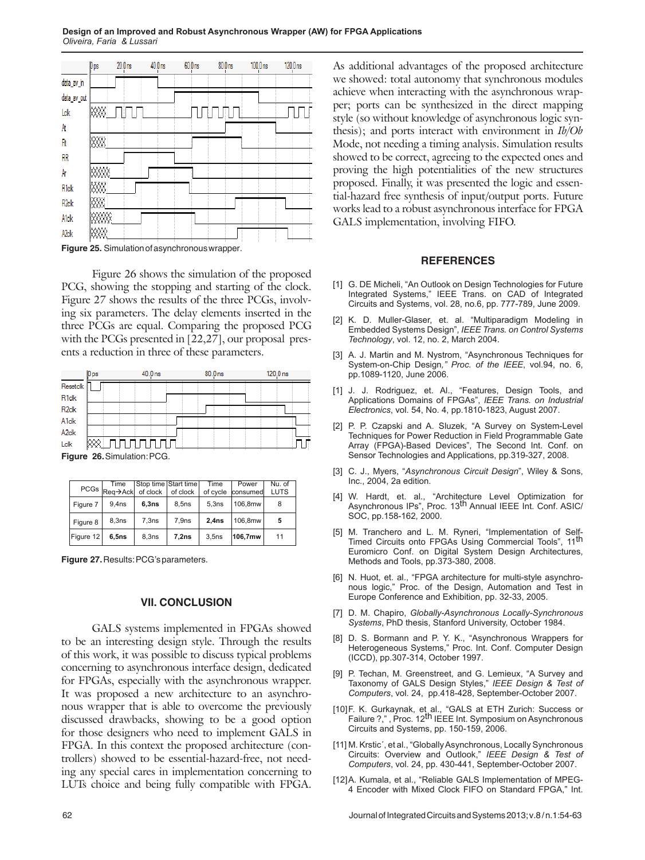

**Figure 25.** Simulation of asynchronous wrapper.

Figure 26 shows the simulation of the proposed PCG, showing the stopping and starting of the clock. Figure 27 shows the results of the three PCGs, involving six parameters. The delay elements inserted in the three PCGs are equal. Comparing the proposed PCG with the PCGs presented in [22,27], our proposal presents a reduction in three of these parameters.

|                   | 0 ps | 40.0 <sub>ns</sub> | 80.0 <sub>ns</sub> | 120.0 <sub>ns</sub> |  |
|-------------------|------|--------------------|--------------------|---------------------|--|
| Resetclk          |      |                    |                    |                     |  |
| R <sub>1clk</sub> |      |                    |                    |                     |  |
| R <sub>2clk</sub> |      |                    |                    |                     |  |
| <b>A1clk</b>      |      |                    |                    |                     |  |
| A <sub>2clk</sub> |      |                    |                    |                     |  |
| Lelk              |      | <u>unnnnnn</u>     |                    |                     |  |

**Figure 26.** Simulation: PCG.

|           | Time<br>PCGs Req->Ack of clock |       | Stop time Start time<br>of clock | Time<br>of cycle  | Power<br>consumed | Nu. of<br><b>LUTS</b> |
|-----------|--------------------------------|-------|----------------------------------|-------------------|-------------------|-----------------------|
| Figure 7  | 9.4 <sub>ns</sub>              | 6,3ns | 8.5ns                            | 5.3ns             | 106.8mw           | 8                     |
|           |                                |       |                                  |                   |                   |                       |
| Figure 8  | 8.3ns                          | 7.3ns | 7.9ns                            | 2.4 <sub>ns</sub> | 106.8mw           | 5                     |
| Figure 12 | 6.5ns                          | 8.3ns | 7,2ns                            | 3.5ns             | 106.7mw           | 11                    |

**Figure 27.** Results: PCG's parameters.

#### **VII. concluSION**

GALS systems implemented in FPGAs showed to be an interesting design style. Through the results of this work, it was possible to discuss typical problems concerning to asynchronous interface design, dedicated for FPGAs, especially with the asynchronous wrapper. It was proposed a new architecture to an asynchronous wrapper that is able to overcome the previously discussed drawbacks, showing to be a good option for those designers who need to implement GALS in FPGA. In this context the proposed architecture (controllers) showed to be essential-hazard-free, not needing any special cares in implementation concerning to LUTs choice and being fully compatible with FPGA.

As additional advantages of the proposed architecture we showed: total autonomy that synchronous modules achieve when interacting with the asynchronous wrapper; ports can be synthesized in the direct mapping style (so without knowledge of asynchronous logic synthesis); and ports interact with environment in *Ib/Ob* Mode, not needing a timing analysis. Simulation results showed to be correct, agreeing to the expected ones and proving the high potentialities of the new structures proposed. Finally, it was presented the logic and essential-hazard free synthesis of input/output ports. Future works lead to a robust asynchronous interface for FPGA GALS implementation, involving FIFO.

#### **References**

- [1] G. DE Micheli, "An Outlook on Design Technologies for Future Integrated Systems," IEEE Trans. on CAD of Integrated Circuits and Systems, vol. 28, no.6, pp. 777-789, June 2009.
- [2] K. D. Muller-Glaser, et. al. "Multiparadigm Modeling in Embedded Systems Design", *IEEE Trans. on Control Systems Technology*, vol. 12, no. 2, March 2004.
- [3] A. J. Martin and M. Nystrom, "Asynchronous Techniques for System-on-Chip Design*," Proc. of the IEEE*, vol.94, no. 6, pp.1089-1120, June 2006.
- [1] J. J. Rodriguez, et. Al., "Features, Design Tools, and Applications Domains of FPGAs", *IEEE Trans. on Industrial Electronics*, vol. 54, No. 4, pp.1810-1823, August 2007.
- [2] P. P. Czapski and A. Sluzek, "A Survey on System-Level Techniques for Power Reduction in Field Programmable Gate Array (FPGA)-Based Devices", The Second Int. Conf. on Sensor Technologies and Applications, pp.319-327, 2008.
- [3] C. J., Myers, "*Asynchronous Circuit Design*", Wiley & Sons, Inc., 2004, 2a edition.
- [4] W. Hardt, et. al., "Architecture Level Optimization for<br>Asynchronous IPs", Proc. 13<sup>th</sup> Annual IEEE Int. Conf. ASIC/ SOC, pp.158-162, 2000.
- [5] M. Tranchero and L. M. Ryneri, "Implementation of Self-Timed Circuits onto FPGAs Using Commercial Tools", 11<sup>th</sup> Euromicro Conf. on Digital System Design Architectures, Methods and Tools, pp.373-380, 2008.
- [6] N. Huot, et. al., "FPGA architecture for multi-style asynchronous logic," Proc. of the Design, Automation and Test in Europe Conference and Exhibition, pp. 32-33, 2005.
- [7] D. M. Chapiro, *Globally-Asynchronous Locally-Synchronous Systems*, PhD thesis, Stanford University, October 1984.
- [8] D. S. Bormann and P. Y. K., "Asynchronous Wrappers for Heterogeneous Systems," Proc. Int. Conf. Computer Design (ICCD), pp.307-314, October 1997.
- [9] P. Techan, M. Greenstreet, and G. Lemieux, "A Survey and Taxonomy of GALS Design Styles," *IEEE Design & Test of Computers*, vol. 24, pp.418-428, September-October 2007.
- [10]F. K. Gurkaynak, et al., "GALS at ETH Zurich: Success or Failure ?,", Proc. 12<sup>th</sup> IEEE Int. Symposium on Asynchronous Circuits and Systems, pp. 150-159, 2006.
- [11] M. Krstic´, et al., "Globally Asynchronous, Locally Synchronous Circuits: Overview and Outlook," *IEEE Design & Test of Computers*, vol. 24, pp. 430-441, September-October 2007.
- [12] A. Kumala, et al., "Reliable GALS Implementation of MPEG-4 Encoder with Mixed Clock FIFO on Standard FPGA," Int.